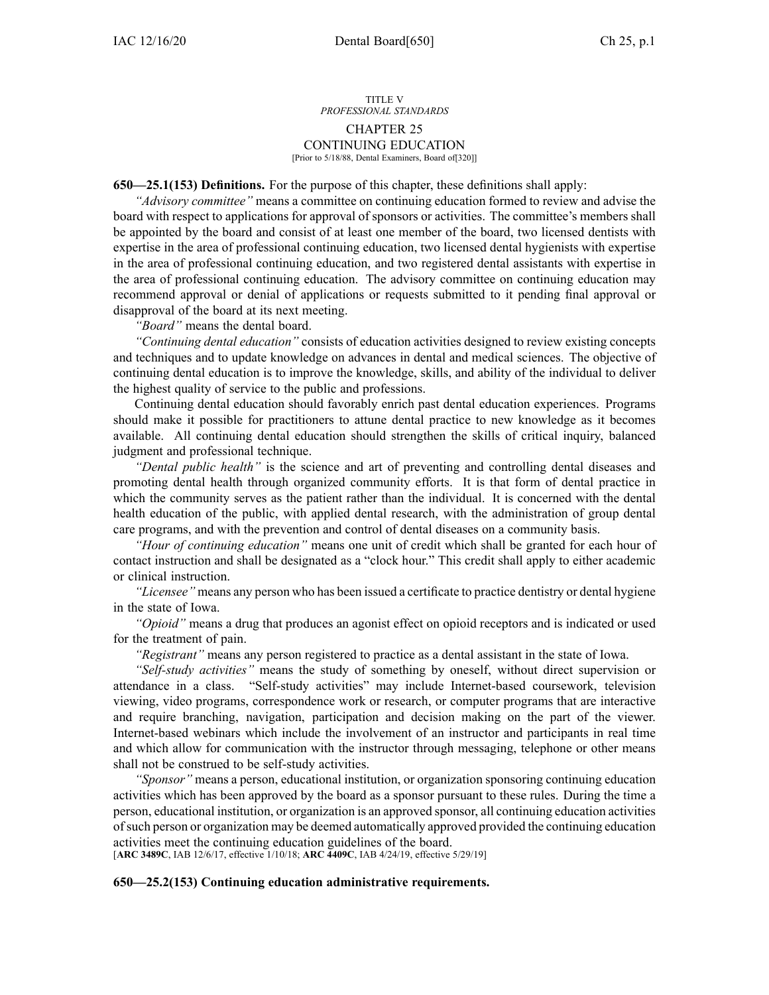#### TITLE V *PROFESSIONAL STANDARDS* CHAPTER 25 CONTINUING EDUCATION [Prior to 5/18/88, Dental Examiners, Board of[320]]

**650—25.1(153) Definitions.** For the purpose of this chapter, these definitions shall apply:

*"Advisory committee"* means <sup>a</sup> committee on continuing education formed to review and advise the board with respec<sup>t</sup> to applications for approval of sponsors or activities. The committee's members shall be appointed by the board and consist of at least one member of the board, two licensed dentists with expertise in the area of professional continuing education, two licensed dental hygienists with expertise in the area of professional continuing education, and two registered dental assistants with expertise in the area of professional continuing education. The advisory committee on continuing education may recommend approval or denial of applications or requests submitted to it pending final approval or disapproval of the board at its next meeting.

*"Board"* means the dental board.

*"Continuing dental education"* consists of education activities designed to review existing concepts and techniques and to update knowledge on advances in dental and medical sciences. The objective of continuing dental education is to improve the knowledge, skills, and ability of the individual to deliver the highest quality of service to the public and professions.

Continuing dental education should favorably enrich pas<sup>t</sup> dental education experiences. Programs should make it possible for practitioners to attune dental practice to new knowledge as it becomes available. All continuing dental education should strengthen the skills of critical inquiry, balanced judgment and professional technique.

*"Dental public health"* is the science and art of preventing and controlling dental diseases and promoting dental health through organized community efforts. It is that form of dental practice in which the community serves as the patient rather than the individual. It is concerned with the dental health education of the public, with applied dental research, with the administration of group dental care programs, and with the prevention and control of dental diseases on <sup>a</sup> community basis.

*"Hour of continuing education"* means one unit of credit which shall be granted for each hour of contact instruction and shall be designated as <sup>a</sup> "clock hour." This credit shall apply to either academic or clinical instruction.

*"Licensee"* means any person who has been issued <sup>a</sup> certificate to practice dentistry or dental hygiene in the state of Iowa.

*"Opioid"* means <sup>a</sup> drug that produces an agonist effect on opioid receptors and is indicated or used for the treatment of pain.

*"Registrant"* means any person registered to practice as <sup>a</sup> dental assistant in the state of Iowa.

*"Self-study activities"* means the study of something by oneself, without direct supervision or attendance in <sup>a</sup> class. "Self-study activities" may include Internet-based coursework, television viewing, video programs, correspondence work or research, or computer programs that are interactive and require branching, navigation, participation and decision making on the par<sup>t</sup> of the viewer. Internet-based webinars which include the involvement of an instructor and participants in real time and which allow for communication with the instructor through messaging, telephone or other means shall not be construed to be self-study activities.

*"Sponsor"* means <sup>a</sup> person, educational institution, or organization sponsoring continuing education activities which has been approved by the board as <sup>a</sup> sponsor pursuan<sup>t</sup> to these rules. During the time <sup>a</sup> person, educational institution, or organization is an approved sponsor, all continuing education activities ofsuch person or organization may be deemed automatically approved provided the continuing education activities meet the continuing education guidelines of the board.

[**ARC [3489C](https://www.legis.iowa.gov/docs/aco/arc/3489C.pdf)**, IAB 12/6/17, effective 1/10/18; **ARC [4409C](https://www.legis.iowa.gov/docs/aco/arc/4409C.pdf)**, IAB 4/24/19, effective 5/29/19]

**650—25.2(153) Continuing education administrative requirements.**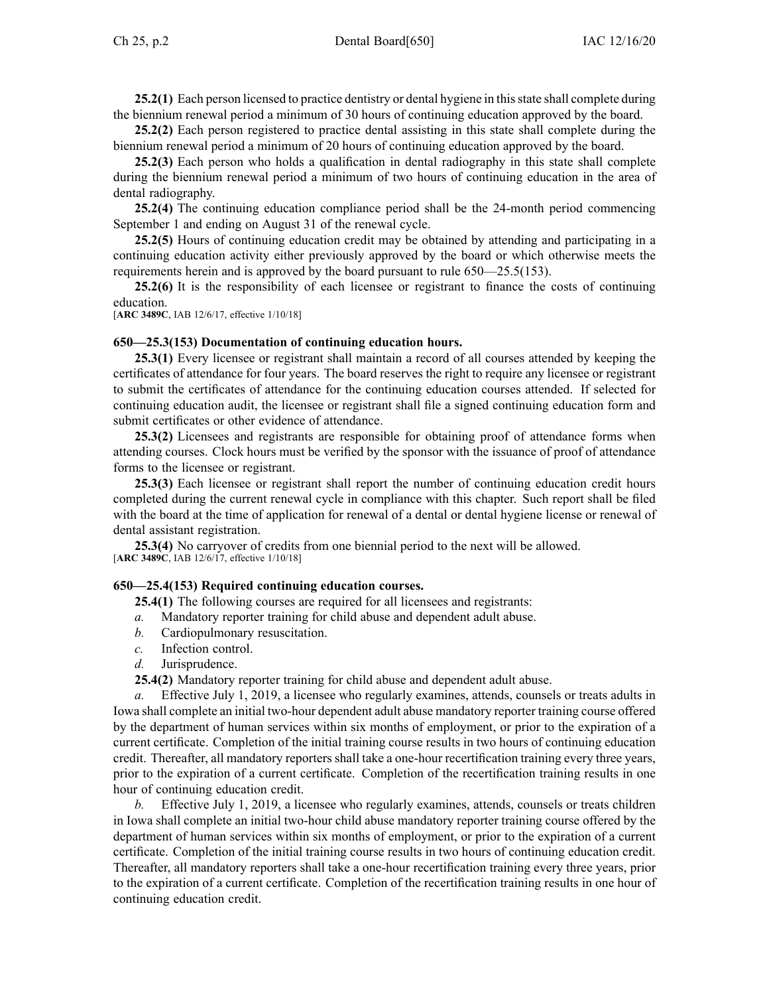**25.2(1)** Each person licensed to practice dentistry or dental hygiene in this state shall complete during the biennium renewal period <sup>a</sup> minimum of 30 hours of continuing education approved by the board.

**25.2(2)** Each person registered to practice dental assisting in this state shall complete during the biennium renewal period <sup>a</sup> minimum of 20 hours of continuing education approved by the board.

**25.2(3)** Each person who holds <sup>a</sup> qualification in dental radiography in this state shall complete during the biennium renewal period <sup>a</sup> minimum of two hours of continuing education in the area of dental radiography.

**25.2(4)** The continuing education compliance period shall be the 24-month period commencing September 1 and ending on August 31 of the renewal cycle.

**25.2(5)** Hours of continuing education credit may be obtained by attending and participating in <sup>a</sup> continuing education activity either previously approved by the board or which otherwise meets the requirements herein and is approved by the board pursuan<sup>t</sup> to rule [650—25.5\(153\)](https://www.legis.iowa.gov/docs/iac/rule/650.25.5.pdf).

**25.2(6)** It is the responsibility of each licensee or registrant to finance the costs of continuing education.

[**ARC [3489C](https://www.legis.iowa.gov/docs/aco/arc/3489C.pdf)**, IAB 12/6/17, effective 1/10/18]

#### **650—25.3(153) Documentation of continuing education hours.**

**25.3(1)** Every licensee or registrant shall maintain <sup>a</sup> record of all courses attended by keeping the certificates of attendance for four years. The board reserves the right to require any licensee or registrant to submit the certificates of attendance for the continuing education courses attended. If selected for continuing education audit, the licensee or registrant shall file <sup>a</sup> signed continuing education form and submit certificates or other evidence of attendance.

**25.3(2)** Licensees and registrants are responsible for obtaining proof of attendance forms when attending courses. Clock hours must be verified by the sponsor with the issuance of proof of attendance forms to the licensee or registrant.

**25.3(3)** Each licensee or registrant shall repor<sup>t</sup> the number of continuing education credit hours completed during the current renewal cycle in compliance with this chapter. Such repor<sup>t</sup> shall be filed with the board at the time of application for renewal of a dental or dental hygiene license or renewal of dental assistant registration.

**25.3(4)** No carryover of credits from one biennial period to the next will be allowed. [**ARC [3489C](https://www.legis.iowa.gov/docs/aco/arc/3489C.pdf)**, IAB 12/6/17, effective 1/10/18]

#### **650—25.4(153) Required continuing education courses.**

**25.4(1)** The following courses are required for all licensees and registrants:

- *a.* Mandatory reporter training for child abuse and dependent adult abuse.
- *b.* Cardiopulmonary resuscitation.
- *c.* Infection control.
- *d.* Jurisprudence.

**25.4(2)** Mandatory reporter training for child abuse and dependent adult abuse.

*a.* Effective July 1, 2019, <sup>a</sup> licensee who regularly examines, attends, counsels or treats adults in Iowa shall complete an initial two-hour dependent adult abuse mandatory reporter training course offered by the department of human services within six months of employment, or prior to the expiration of <sup>a</sup> current certificate. Completion of the initial training course results in two hours of continuing education credit. Thereafter, all mandatory reporters shall take <sup>a</sup> one-hour recertification training every three years, prior to the expiration of <sup>a</sup> current certificate. Completion of the recertification training results in one hour of continuing education credit.

*b.* Effective July 1, 2019, <sup>a</sup> licensee who regularly examines, attends, counsels or treats children in Iowa shall complete an initial two-hour child abuse mandatory reporter training course offered by the department of human services within six months of employment, or prior to the expiration of <sup>a</sup> current certificate. Completion of the initial training course results in two hours of continuing education credit. Thereafter, all mandatory reporters shall take <sup>a</sup> one-hour recertification training every three years, prior to the expiration of <sup>a</sup> current certificate. Completion of the recertification training results in one hour of continuing education credit.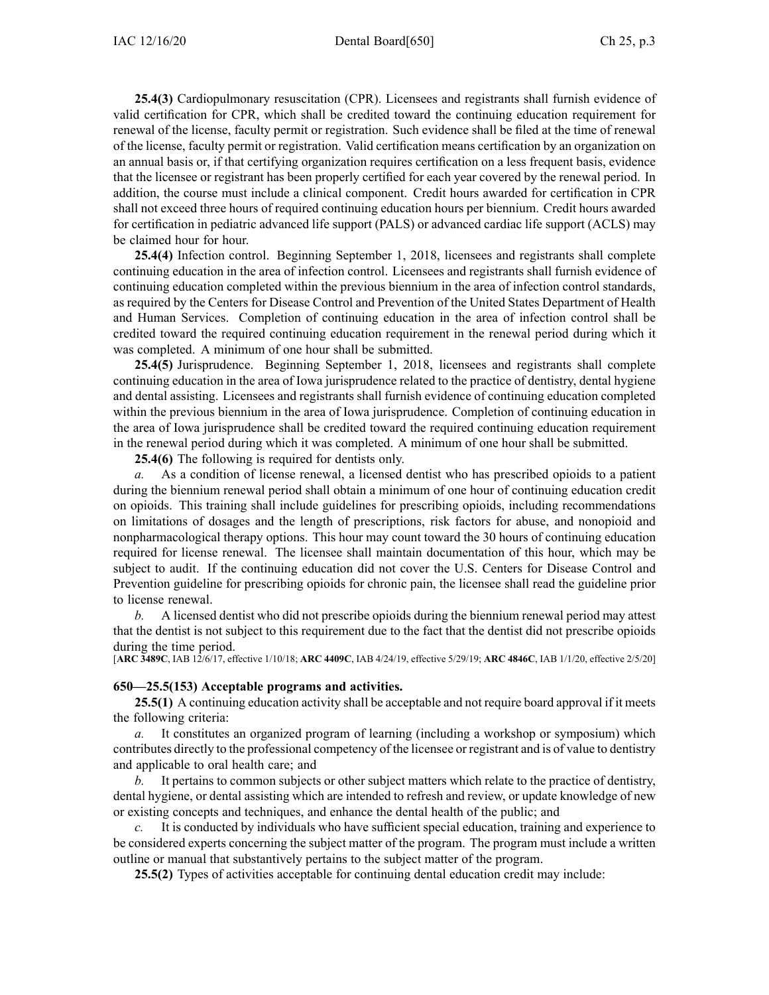**25.4(3)** Cardiopulmonary resuscitation (CPR). Licensees and registrants shall furnish evidence of valid certification for CPR, which shall be credited toward the continuing education requirement for renewal of the license, faculty permit or registration. Such evidence shall be filed at the time of renewal of the license, faculty permit or registration. Valid certification means certification by an organization on an annual basis or, if that certifying organization requires certification on <sup>a</sup> less frequent basis, evidence that the licensee or registrant has been properly certified for each year covered by the renewal period. In addition, the course must include <sup>a</sup> clinical component. Credit hours awarded for certification in CPR shall not exceed three hours of required continuing education hours per biennium. Credit hours awarded for certification in pediatric advanced life suppor<sup>t</sup> (PALS) or advanced cardiac life suppor<sup>t</sup> (ACLS) may be claimed hour for hour.

**25.4(4)** Infection control. Beginning September 1, 2018, licensees and registrants shall complete continuing education in the area of infection control. Licensees and registrants shall furnish evidence of continuing education completed within the previous biennium in the area of infection control standards, as required by the Centers for Disease Control and Prevention of the United States Department of Health and Human Services. Completion of continuing education in the area of infection control shall be credited toward the required continuing education requirement in the renewal period during which it was completed. A minimum of one hour shall be submitted.

**25.4(5)** Jurisprudence. Beginning September 1, 2018, licensees and registrants shall complete continuing education in the area of Iowa jurisprudence related to the practice of dentistry, dental hygiene and dental assisting. Licensees and registrants shall furnish evidence of continuing education completed within the previous biennium in the area of Iowa jurisprudence. Completion of continuing education in the area of Iowa jurisprudence shall be credited toward the required continuing education requirement in the renewal period during which it was completed. A minimum of one hour shall be submitted.

**25.4(6)** The following is required for dentists only.

*a.* As <sup>a</sup> condition of license renewal, <sup>a</sup> licensed dentist who has prescribed opioids to <sup>a</sup> patient during the biennium renewal period shall obtain <sup>a</sup> minimum of one hour of continuing education credit on opioids. This training shall include guidelines for prescribing opioids, including recommendations on limitations of dosages and the length of prescriptions, risk factors for abuse, and nonopioid and nonpharmacological therapy options. This hour may count toward the 30 hours of continuing education required for license renewal. The licensee shall maintain documentation of this hour, which may be subject to audit. If the continuing education did not cover the U.S. Centers for Disease Control and Prevention guideline for prescribing opioids for chronic pain, the licensee shall read the guideline prior to license renewal.

*b.* A licensed dentist who did not prescribe opioids during the biennium renewal period may attest that the dentist is not subject to this requirement due to the fact that the dentist did not prescribe opioids during the time period.

[**ARC [3489C](https://www.legis.iowa.gov/docs/aco/arc/3489C.pdf)**, IAB 12/6/17, effective 1/10/18; **ARC [4409C](https://www.legis.iowa.gov/docs/aco/arc/4409C.pdf)**, IAB 4/24/19, effective 5/29/19; **ARC [4846C](https://www.legis.iowa.gov/docs/aco/arc/4846C.pdf)**, IAB 1/1/20, effective 2/5/20]

#### **650—25.5(153) Acceptable programs and activities.**

**25.5(1)** A continuing education activity shall be acceptable and not require board approval if it meets the following criteria:

*a.* It constitutes an organized program of learning (including <sup>a</sup> workshop or symposium) which contributes directly to the professional competency of the licensee or registrant and is of value to dentistry and applicable to oral health care; and

*b.* It pertains to common subjects or other subject matters which relate to the practice of dentistry, dental hygiene, or dental assisting which are intended to refresh and review, or update knowledge of new or existing concepts and techniques, and enhance the dental health of the public; and

*c.* It is conducted by individuals who have sufficient special education, training and experience to be considered experts concerning the subject matter of the program. The program must include <sup>a</sup> written outline or manual that substantively pertains to the subject matter of the program.

**25.5(2)** Types of activities acceptable for continuing dental education credit may include: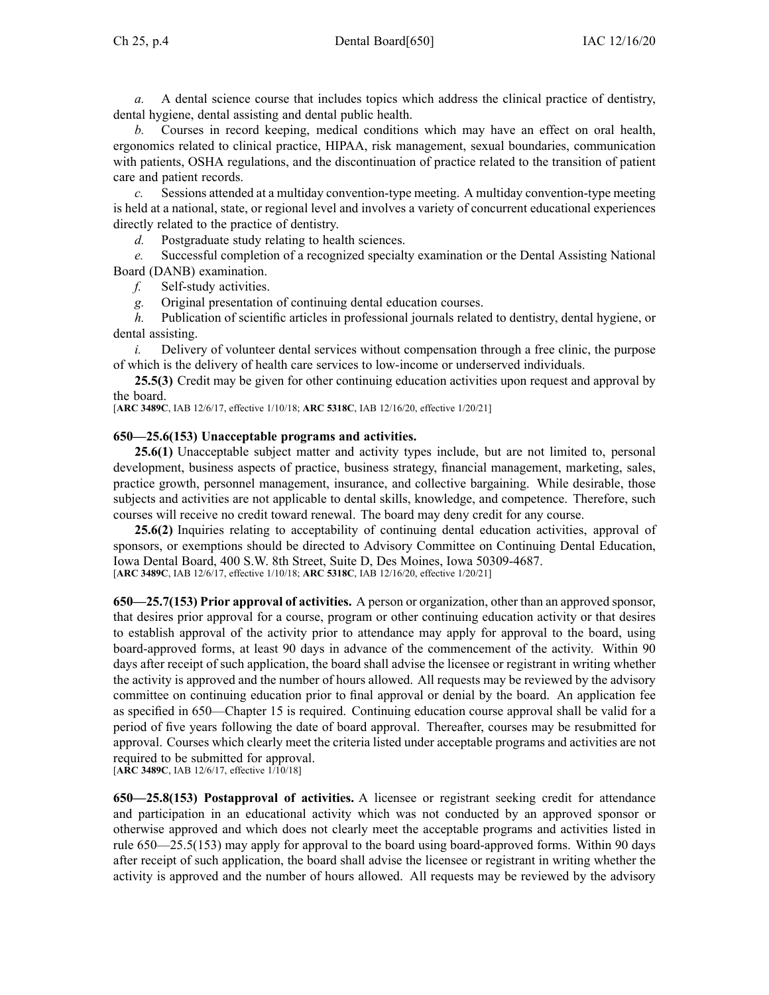*a.* A dental science course that includes topics which address the clinical practice of dentistry, dental hygiene, dental assisting and dental public health.

*b.* Courses in record keeping, medical conditions which may have an effect on oral health, ergonomics related to clinical practice, HIPAA, risk management, sexual boundaries, communication with patients, OSHA regulations, and the discontinuation of practice related to the transition of patient care and patient records.

*c.* Sessions attended at <sup>a</sup> multiday convention-type meeting. A multiday convention-type meeting is held at <sup>a</sup> national, state, or regional level and involves <sup>a</sup> variety of concurrent educational experiences directly related to the practice of dentistry.

*d.* Postgraduate study relating to health sciences.

*e.* Successful completion of <sup>a</sup> recognized specialty examination or the Dental Assisting National Board (DANB) examination.

*f.* Self-study activities.

*g.* Original presentation of continuing dental education courses.

*h.* Publication of scientific articles in professional journals related to dentistry, dental hygiene, or dental assisting.

*i.* Delivery of volunteer dental services without compensation through a free clinic, the purpose of which is the delivery of health care services to low-income or underserved individuals.

**25.5(3)** Credit may be given for other continuing education activities upon reques<sup>t</sup> and approval by the board.

[**ARC [3489C](https://www.legis.iowa.gov/docs/aco/arc/3489C.pdf)**, IAB 12/6/17, effective 1/10/18; **ARC [5318C](https://www.legis.iowa.gov/docs/aco/arc/5318C.pdf)**, IAB 12/16/20, effective 1/20/21]

### **650—25.6(153) Unacceptable programs and activities.**

**25.6(1)** Unacceptable subject matter and activity types include, but are not limited to, personal development, business aspects of practice, business strategy, financial management, marketing, sales, practice growth, personnel management, insurance, and collective bargaining. While desirable, those subjects and activities are not applicable to dental skills, knowledge, and competence. Therefore, such courses will receive no credit toward renewal. The board may deny credit for any course.

**25.6(2)** Inquiries relating to acceptability of continuing dental education activities, approval of sponsors, or exemptions should be directed to Advisory Committee on Continuing Dental Education, Iowa Dental Board, 400 S.W. 8th Street, Suite D, Des Moines, Iowa 50309-4687. [**ARC [3489C](https://www.legis.iowa.gov/docs/aco/arc/3489C.pdf)**, IAB 12/6/17, effective 1/10/18; **ARC [5318C](https://www.legis.iowa.gov/docs/aco/arc/5318C.pdf)**, IAB 12/16/20, effective 1/20/21]

**650—25.7(153) Prior approval of activities.** A person or organization, other than an approved sponsor, that desires prior approval for <sup>a</sup> course, program or other continuing education activity or that desires to establish approval of the activity prior to attendance may apply for approval to the board, using board-approved forms, at least 90 days in advance of the commencement of the activity. Within 90 days after receipt of such application, the board shall advise the licensee or registrant in writing whether the activity is approved and the number of hours allowed. All requests may be reviewed by the advisory committee on continuing education prior to final approval or denial by the board. An application fee as specified in [650—Chapter](https://www.legis.iowa.gov/docs/iac/chapter/650.15.pdf) 15 is required. Continuing education course approval shall be valid for <sup>a</sup> period of five years following the date of board approval. Thereafter, courses may be resubmitted for approval. Courses which clearly meet the criteria listed under acceptable programs and activities are not required to be submitted for approval.

[**ARC [3489C](https://www.legis.iowa.gov/docs/aco/arc/3489C.pdf)**, IAB 12/6/17, effective 1/10/18]

**650—25.8(153) Postapproval of activities.** A licensee or registrant seeking credit for attendance and participation in an educational activity which was not conducted by an approved sponsor or otherwise approved and which does not clearly meet the acceptable programs and activities listed in rule [650—25.5\(153\)](https://www.legis.iowa.gov/docs/iac/rule/650.25.5.pdf) may apply for approval to the board using board-approved forms. Within 90 days after receipt of such application, the board shall advise the licensee or registrant in writing whether the activity is approved and the number of hours allowed. All requests may be reviewed by the advisory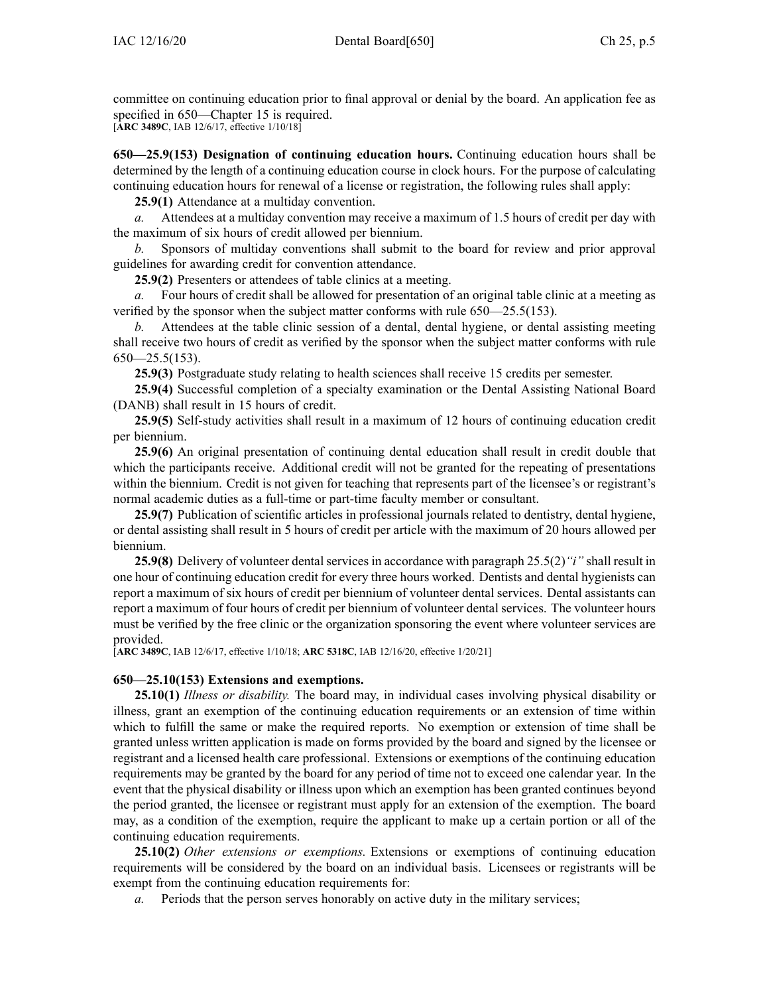committee on continuing education prior to final approval or denial by the board. An application fee as specified in [650—Chapter](https://www.legis.iowa.gov/docs/iac/chapter/650.15.pdf) 15 is required.

[**ARC [3489C](https://www.legis.iowa.gov/docs/aco/arc/3489C.pdf)**, IAB 12/6/17, effective 1/10/18]

**650—25.9(153) Designation of continuing education hours.** Continuing education hours shall be determined by the length of <sup>a</sup> continuing education course in clock hours. For the purpose of calculating continuing education hours for renewal of <sup>a</sup> license or registration, the following rules shall apply:

**25.9(1)** Attendance at <sup>a</sup> multiday convention.

*a.* Attendees at <sup>a</sup> multiday convention may receive <sup>a</sup> maximum of 1.5 hours of credit per day with the maximum of six hours of credit allowed per biennium.

*b.* Sponsors of multiday conventions shall submit to the board for review and prior approval guidelines for awarding credit for convention attendance.

**25.9(2)** Presenters or attendees of table clinics at <sup>a</sup> meeting.

*a.* Four hours of credit shall be allowed for presentation of an original table clinic at <sup>a</sup> meeting as verified by the sponsor when the subject matter conforms with rule [650—25.5](https://www.legis.iowa.gov/docs/iac/rule/650.25.5.pdf)(153).

*b.* Attendees at the table clinic session of <sup>a</sup> dental, dental hygiene, or dental assisting meeting shall receive two hours of credit as verified by the sponsor when the subject matter conforms with rule  $650 - 25.5(153)$ .

**25.9(3)** Postgraduate study relating to health sciences shall receive 15 credits per semester.

**25.9(4)** Successful completion of <sup>a</sup> specialty examination or the Dental Assisting National Board (DANB) shall result in 15 hours of credit.

**25.9(5)** Self-study activities shall result in <sup>a</sup> maximum of 12 hours of continuing education credit per biennium.

**25.9(6)** An original presentation of continuing dental education shall result in credit double that which the participants receive. Additional credit will not be granted for the repeating of presentations within the biennium. Credit is not given for teaching that represents par<sup>t</sup> of the licensee's or registrant's normal academic duties as <sup>a</sup> full-time or part-time faculty member or consultant.

**25.9(7)** Publication of scientific articles in professional journals related to dentistry, dental hygiene, or dental assisting shall result in 5 hours of credit per article with the maximum of 20 hours allowed per biennium.

**25.9(8)** Delivery of volunteer dental services in accordance with paragraph [25.5\(2\)](https://www.legis.iowa.gov/docs/iac/rule/650.25.5.pdf)*"i"* shall result in one hour of continuing education credit for every three hours worked. Dentists and dental hygienists can repor<sup>t</sup> <sup>a</sup> maximum of six hours of credit per biennium of volunteer dental services. Dental assistants can repor<sup>t</sup> <sup>a</sup> maximum of four hours of credit per biennium of volunteer dental services. The volunteer hours must be verified by the free clinic or the organization sponsoring the event where volunteer services are provided.

[**ARC [3489C](https://www.legis.iowa.gov/docs/aco/arc/3489C.pdf)**, IAB 12/6/17, effective 1/10/18; **ARC [5318C](https://www.legis.iowa.gov/docs/aco/arc/5318C.pdf)**, IAB 12/16/20, effective 1/20/21]

# **650—25.10(153) Extensions and exemptions.**

**25.10(1)** *Illness or disability.* The board may, in individual cases involving physical disability or illness, gran<sup>t</sup> an exemption of the continuing education requirements or an extension of time within which to fulfill the same or make the required reports. No exemption or extension of time shall be granted unless written application is made on forms provided by the board and signed by the licensee or registrant and <sup>a</sup> licensed health care professional. Extensions or exemptions of the continuing education requirements may be granted by the board for any period of time not to exceed one calendar year. In the event that the physical disability or illness upon which an exemption has been granted continues beyond the period granted, the licensee or registrant must apply for an extension of the exemption. The board may, as <sup>a</sup> condition of the exemption, require the applicant to make up <sup>a</sup> certain portion or all of the continuing education requirements.

**25.10(2)** *Other extensions or exemptions.* Extensions or exemptions of continuing education requirements will be considered by the board on an individual basis. Licensees or registrants will be exemp<sup>t</sup> from the continuing education requirements for:

*a.* Periods that the person serves honorably on active duty in the military services;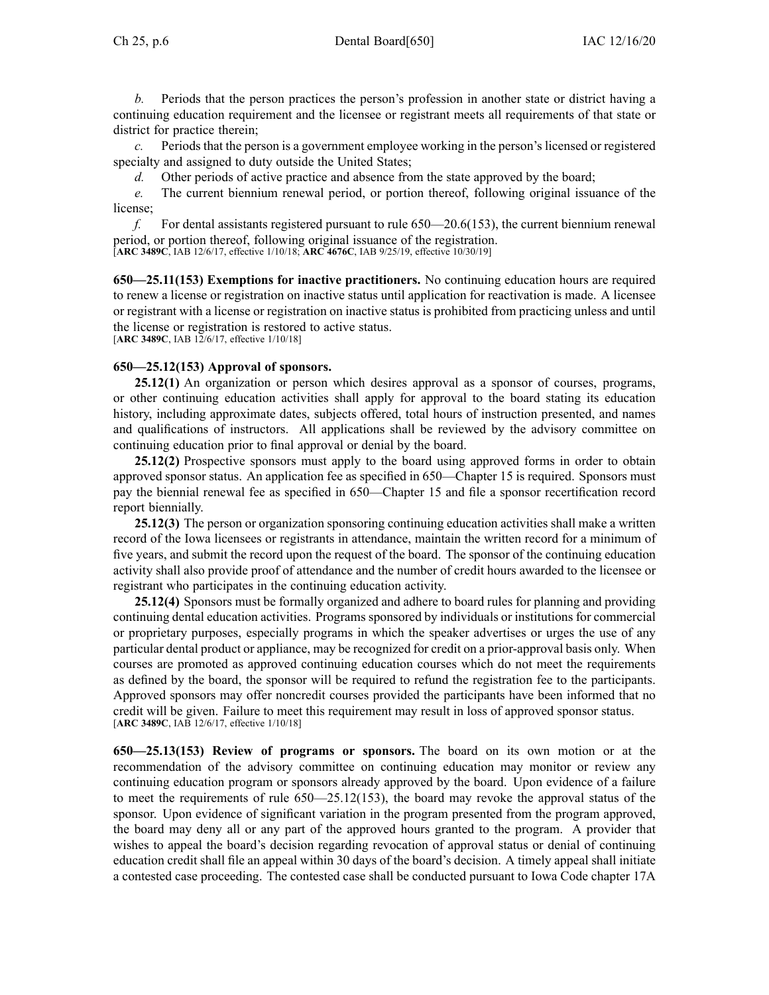*b.* Periods that the person practices the person's profession in another state or district having <sup>a</sup> continuing education requirement and the licensee or registrant meets all requirements of that state or district for practice therein;

*c.* Periods that the person is <sup>a</sup> governmen<sup>t</sup> employee working in the person's licensed or registered specialty and assigned to duty outside the United States;

*d.* Other periods of active practice and absence from the state approved by the board;

*e.* The current biennium renewal period, or portion thereof, following original issuance of the license;

*f.* For dental assistants registered pursuan<sup>t</sup> to rule [650—20.6](https://www.legis.iowa.gov/docs/iac/rule/650.20.6.pdf)(153), the current biennium renewal period, or portion thereof, following original issuance of the registration.

[**ARC [3489C](https://www.legis.iowa.gov/docs/aco/arc/3489C.pdf)**, IAB 12/6/17, effective 1/10/18; **ARC [4676C](https://www.legis.iowa.gov/docs/aco/arc/4676C.pdf)**, IAB 9/25/19, effective 10/30/19]

**650—25.11(153) Exemptions for inactive practitioners.** No continuing education hours are required to renew <sup>a</sup> license or registration on inactive status until application for reactivation is made. A licensee or registrant with <sup>a</sup> license or registration on inactive status is prohibited from practicing unless and until the license or registration is restored to active status.

[**ARC [3489C](https://www.legis.iowa.gov/docs/aco/arc/3489C.pdf)**, IAB 12/6/17, effective 1/10/18]

## **650—25.12(153) Approval of sponsors.**

**25.12(1)** An organization or person which desires approval as <sup>a</sup> sponsor of courses, programs, or other continuing education activities shall apply for approval to the board stating its education history, including approximate dates, subjects offered, total hours of instruction presented, and names and qualifications of instructors. All applications shall be reviewed by the advisory committee on continuing education prior to final approval or denial by the board.

**25.12(2)** Prospective sponsors must apply to the board using approved forms in order to obtain approved sponsor status. An application fee as specified in [650—Chapter](https://www.legis.iowa.gov/docs/iac/chapter/650.15.pdf) 15 is required. Sponsors must pay the biennial renewal fee as specified in [650—Chapter](https://www.legis.iowa.gov/docs/iac/chapter/650.15.pdf) 15 and file <sup>a</sup> sponsor recertification record repor<sup>t</sup> biennially.

**25.12(3)** The person or organization sponsoring continuing education activities shall make <sup>a</sup> written record of the Iowa licensees or registrants in attendance, maintain the written record for <sup>a</sup> minimum of five years, and submit the record upon the reques<sup>t</sup> of the board. The sponsor of the continuing education activity shall also provide proof of attendance and the number of credit hours awarded to the licensee or registrant who participates in the continuing education activity.

**25.12(4)** Sponsors must be formally organized and adhere to board rules for planning and providing continuing dental education activities. Programs sponsored by individuals or institutions for commercial or proprietary purposes, especially programs in which the speaker advertises or urges the use of any particular dental product or appliance, may be recognized for credit on <sup>a</sup> prior-approval basis only. When courses are promoted as approved continuing education courses which do not meet the requirements as defined by the board, the sponsor will be required to refund the registration fee to the participants. Approved sponsors may offer noncredit courses provided the participants have been informed that no credit will be given. Failure to meet this requirement may result in loss of approved sponsor status. [**ARC [3489C](https://www.legis.iowa.gov/docs/aco/arc/3489C.pdf)**, IAB 12/6/17, effective 1/10/18]

**650—25.13(153) Review of programs or sponsors.** The board on its own motion or at the recommendation of the advisory committee on continuing education may monitor or review any continuing education program or sponsors already approved by the board. Upon evidence of <sup>a</sup> failure to meet the requirements of rule [650—25.12\(153\)](https://www.legis.iowa.gov/docs/iac/rule/650.25.12.pdf), the board may revoke the approval status of the sponsor. Upon evidence of significant variation in the program presented from the program approved, the board may deny all or any par<sup>t</sup> of the approved hours granted to the program. A provider that wishes to appeal the board's decision regarding revocation of approval status or denial of continuing education credit shall file an appeal within 30 days of the board's decision. A timely appeal shall initiate <sup>a</sup> contested case proceeding. The contested case shall be conducted pursuan<sup>t</sup> to Iowa Code chapter [17A](https://www.legis.iowa.gov/docs/ico/chapter/2017/17A.pdf)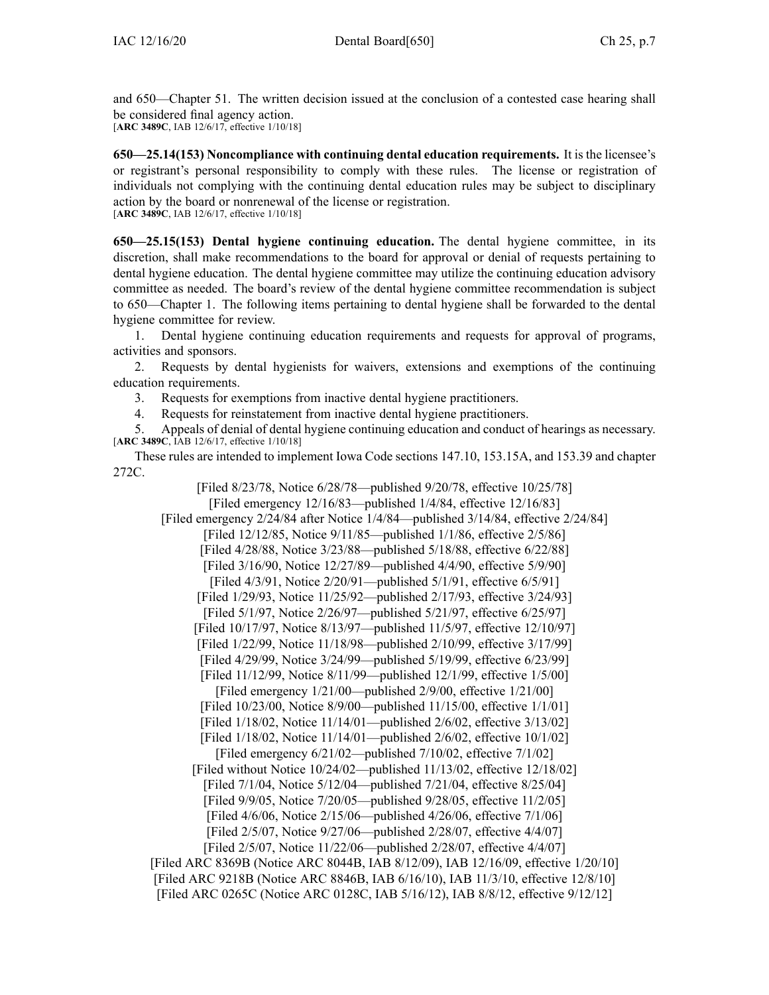and [650—Chapter](https://www.legis.iowa.gov/docs/iac/chapter/650.51.pdf) 51. The written decision issued at the conclusion of <sup>a</sup> contested case hearing shall be considered final agency action. [**ARC [3489C](https://www.legis.iowa.gov/docs/aco/arc/3489C.pdf)**, IAB 12/6/17, effective 1/10/18]

**650—25.14(153) Noncompliance with continuing dental education requirements.** It is the licensee's or registrant's personal responsibility to comply with these rules. The license or registration of individuals not complying with the continuing dental education rules may be subject to disciplinary action by the board or nonrenewal of the license or registration. [**ARC [3489C](https://www.legis.iowa.gov/docs/aco/arc/3489C.pdf)**, IAB 12/6/17, effective 1/10/18]

**650—25.15(153) Dental hygiene continuing education.** The dental hygiene committee, in its discretion, shall make recommendations to the board for approval or denial of requests pertaining to dental hygiene education. The dental hygiene committee may utilize the continuing education advisory committee as needed. The board's review of the dental hygiene committee recommendation is subject to [650—Chapter](https://www.legis.iowa.gov/docs/iac/chapter/650.1.pdf) 1. The following items pertaining to dental hygiene shall be forwarded to the dental hygiene committee for review.

1. Dental hygiene continuing education requirements and requests for approval of programs, activities and sponsors.

2. Requests by dental hygienists for waivers, extensions and exemptions of the continuing education requirements.

3. Requests for exemptions from inactive dental hygiene practitioners.

4. Requests for reinstatement from inactive dental hygiene practitioners.

5. Appeals of denial of dental hygiene continuing education and conduct of hearings as necessary. [**ARC [3489C](https://www.legis.iowa.gov/docs/aco/arc/3489C.pdf)**, IAB 12/6/17, effective 1/10/18]

These rules are intended to implement Iowa Code sections [147.10](https://www.legis.iowa.gov/docs/ico/section/2017/147.10.pdf), [153.15A](https://www.legis.iowa.gov/docs/ico/section/2017/153.15A.pdf), and [153.39](https://www.legis.iowa.gov/docs/ico/section/2017/153.39.pdf) and chapter [272C](https://www.legis.iowa.gov/docs/ico/chapter/2017/272C.pdf).

[Filed 8/23/78, Notice 6/28/78—published 9/20/78, effective 10/25/78] [Filed emergency 12/16/83—published 1/4/84, effective 12/16/83] [Filed emergency 2/24/84 after Notice 1/4/84—published 3/14/84, effective 2/24/84] [Filed 12/12/85, Notice 9/11/85—published 1/1/86, effective 2/5/86] [Filed 4/28/88, Notice 3/23/88—published 5/18/88, effective 6/22/88] [Filed 3/16/90, Notice 12/27/89—published 4/4/90, effective 5/9/90] [Filed 4/3/91, Notice 2/20/91—published 5/1/91, effective 6/5/91] [Filed 1/29/93, Notice 11/25/92—published 2/17/93, effective 3/24/93] [Filed 5/1/97, Notice 2/26/97—published 5/21/97, effective 6/25/97] [Filed 10/17/97, Notice 8/13/97—published 11/5/97, effective 12/10/97] [Filed 1/22/99, Notice 11/18/98—published 2/10/99, effective 3/17/99] [Filed 4/29/99, Notice 3/24/99—published 5/19/99, effective 6/23/99] [Filed 11/12/99, Notice 8/11/99—published 12/1/99, effective 1/5/00] [Filed emergency 1/21/00—published 2/9/00, effective 1/21/00] [Filed 10/23/00, Notice 8/9/00—published 11/15/00, effective 1/1/01] [Filed 1/18/02, Notice 11/14/01—published 2/6/02, effective 3/13/02] [Filed 1/18/02, Notice 11/14/01—published 2/6/02, effective 10/1/02] [Filed emergency 6/21/02—published 7/10/02, effective 7/1/02] [Filed without Notice 10/24/02—published 11/13/02, effective 12/18/02] [Filed 7/1/04, Notice 5/12/04—published 7/21/04, effective 8/25/04] [Filed 9/9/05, Notice 7/20/05—published 9/28/05, effective 11/2/05] [Filed 4/6/06, Notice 2/15/06—published 4/26/06, effective 7/1/06] [Filed 2/5/07, Notice 9/27/06—published 2/28/07, effective 4/4/07] [Filed 2/5/07, Notice 11/22/06—published 2/28/07, effective 4/4/07] [[Filed](https://www.legis.iowa.gov/docs/aco/arc/8369B.pdf) ARC 8369B ([Notice](https://www.legis.iowa.gov/docs/aco/arc/8044B.pdf) ARC 8044B, IAB 8/12/09), IAB 12/16/09, effective 1/20/10]

[[Filed](https://www.legis.iowa.gov/docs/aco/arc/9218B.pdf) ARC 9218B [\(Notice](https://www.legis.iowa.gov/docs/aco/arc/8846B.pdf) ARC 8846B, IAB 6/16/10), IAB 11/3/10, effective 12/8/10] [Filed ARC [0265C](https://www.legis.iowa.gov/docs/aco/arc/0265C.pdf) (Notice ARC [0128C](https://www.legis.iowa.gov/docs/aco/arc/0128C.pdf), IAB 5/16/12), IAB 8/8/12, effective 9/12/12]